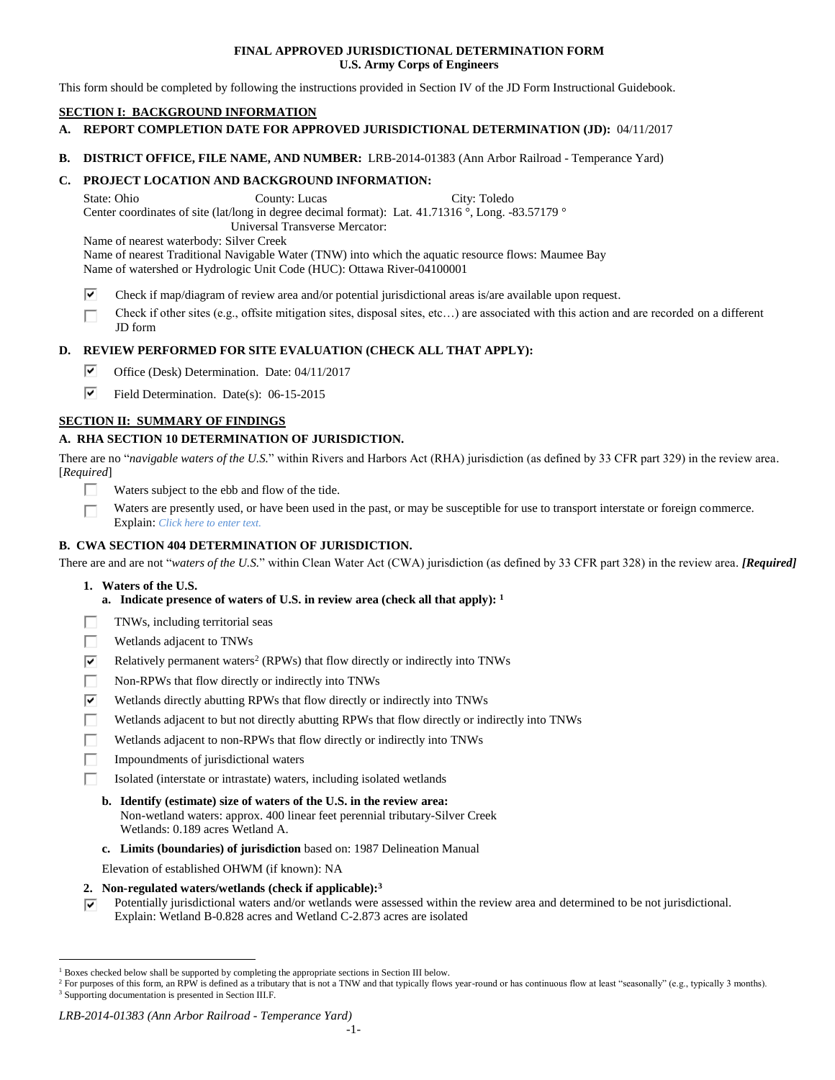# **FINAL APPROVED JURISDICTIONAL DETERMINATION FORM U.S. Army Corps of Engineers**

This form should be completed by following the instructions provided in Section IV of the JD Form Instructional Guidebook.

# **SECTION I: BACKGROUND INFORMATION**

- **A. REPORT COMPLETION DATE FOR APPROVED JURISDICTIONAL DETERMINATION (JD):** 04/11/2017
- **B. DISTRICT OFFICE, FILE NAME, AND NUMBER:** LRB-2014-01383 (Ann Arbor Railroad Temperance Yard)

**C. PROJECT LOCATION AND BACKGROUND INFORMATION:**

State: Ohio County: Lucas City: Toledo

Center coordinates of site (lat/long in degree decimal format): Lat. 41.71316 °, Long. -83.57179 °

Universal Transverse Mercator:

Name of nearest waterbody: Silver Creek

Name of nearest Traditional Navigable Water (TNW) into which the aquatic resource flows: Maumee Bay Name of watershed or Hydrologic Unit Code (HUC): Ottawa River-04100001

- ⊽ Check if map/diagram of review area and/or potential jurisdictional areas is/are available upon request.
- Check if other sites (e.g., offsite mitigation sites, disposal sites, etc…) are associated with this action and are recorded on a different П JD form

# **D. REVIEW PERFORMED FOR SITE EVALUATION (CHECK ALL THAT APPLY):**

- ☞ Office (Desk) Determination. Date: 04/11/2017
- ☞ Field Determination. Date(s): 06-15-2015

# **SECTION II: SUMMARY OF FINDINGS**

# **A. RHA SECTION 10 DETERMINATION OF JURISDICTION.**

There are no "*navigable waters of the U.S.*" within Rivers and Harbors Act (RHA) jurisdiction (as defined by 33 CFR part 329) in the review area. [*Required*]

- П. Waters subject to the ebb and flow of the tide.
- Waters are presently used, or have been used in the past, or may be susceptible for use to transport interstate or foreign commerce. п Explain: *Click here to enter text.*

# **B. CWA SECTION 404 DETERMINATION OF JURISDICTION.**

There are and are not "*waters of the U.S.*" within Clean Water Act (CWA) jurisdiction (as defined by 33 CFR part 328) in the review area. *[Required]*

**1. Waters of the U.S.**

 $\overline{a}$ 

- **a. Indicate presence of waters of U.S. in review area (check all that apply): 1**
- П TNWs, including territorial seas
- П Wetlands adjacent to TNWs
- $\overline{\mathbf{v}}$ Relatively permanent waters<sup>2</sup> (RPWs) that flow directly or indirectly into TNWs
- П Non-RPWs that flow directly or indirectly into TNWs
- ☑ Wetlands directly abutting RPWs that flow directly or indirectly into TNWs
- Wetlands adjacent to but not directly abutting RPWs that flow directly or indirectly into TNWs г
- П Wetlands adjacent to non-RPWs that flow directly or indirectly into TNWs
- П Impoundments of jurisdictional waters
	- Isolated (interstate or intrastate) waters, including isolated wetlands
	- **b. Identify (estimate) size of waters of the U.S. in the review area:** Non-wetland waters: approx. 400 linear feet perennial tributary-Silver Creek Wetlands: 0.189 acres Wetland A.
	- **c. Limits (boundaries) of jurisdiction** based on: 1987 Delineation Manual

Elevation of established OHWM (if known): NA

- **2. Non-regulated waters/wetlands (check if applicable): 3**
- Potentially jurisdictional waters and/or wetlands were assessed within the review area and determined to be not jurisdictional. ⊽ Explain: Wetland B-0.828 acres and Wetland C-2.873 acres are isolated

## *LRB-2014-01383 (Ann Arbor Railroad - Temperance Yard)*

<sup>1</sup> Boxes checked below shall be supported by completing the appropriate sections in Section III below.

<sup>&</sup>lt;sup>2</sup> For purposes of this form, an RPW is defined as a tributary that is not a TNW and that typically flows year-round or has continuous flow at least "seasonally" (e.g., typically 3 months). <sup>3</sup> Supporting documentation is presented in Section III.F.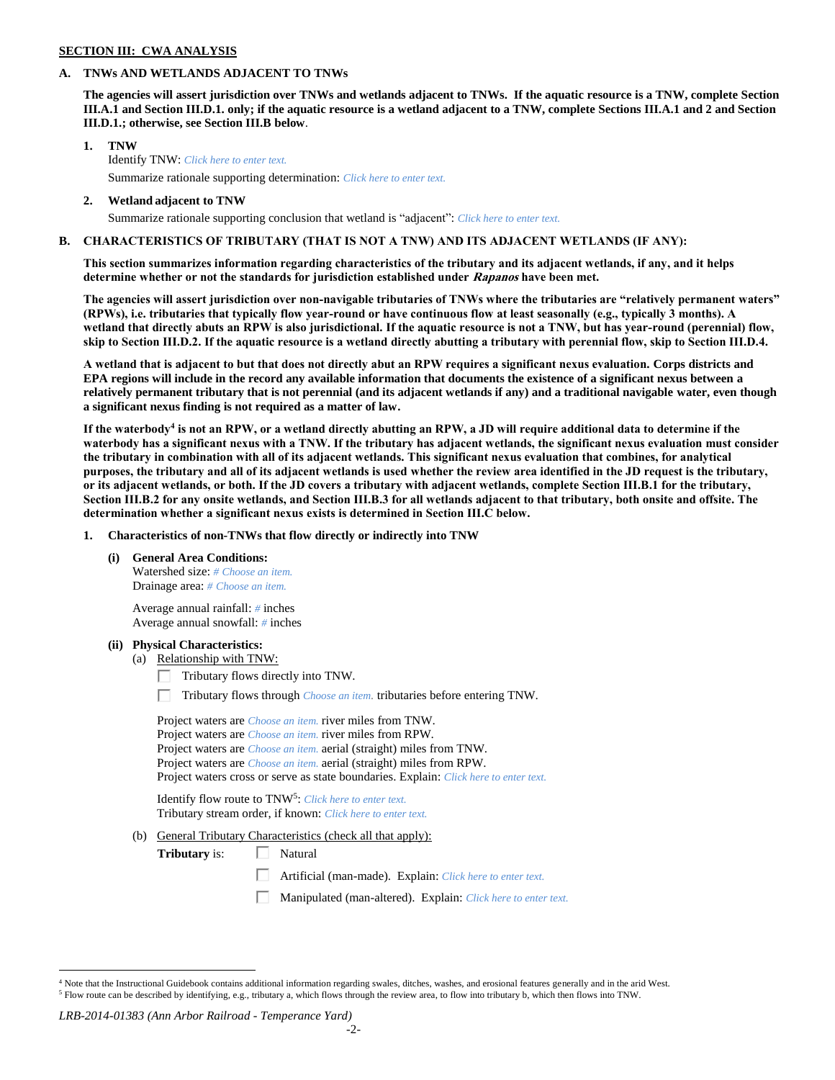## **SECTION III: CWA ANALYSIS**

## **A. TNWs AND WETLANDS ADJACENT TO TNWs**

**The agencies will assert jurisdiction over TNWs and wetlands adjacent to TNWs. If the aquatic resource is a TNW, complete Section III.A.1 and Section III.D.1. only; if the aquatic resource is a wetland adjacent to a TNW, complete Sections III.A.1 and 2 and Section III.D.1.; otherwise, see Section III.B below**.

- **1. TNW**  Identify TNW: *Click here to enter text.* Summarize rationale supporting determination: *Click here to enter text.*
- **2. Wetland adjacent to TNW** Summarize rationale supporting conclusion that wetland is "adjacent": *Click here to enter text.*

# **B. CHARACTERISTICS OF TRIBUTARY (THAT IS NOT A TNW) AND ITS ADJACENT WETLANDS (IF ANY):**

**This section summarizes information regarding characteristics of the tributary and its adjacent wetlands, if any, and it helps determine whether or not the standards for jurisdiction established under Rapanos have been met.** 

**The agencies will assert jurisdiction over non-navigable tributaries of TNWs where the tributaries are "relatively permanent waters" (RPWs), i.e. tributaries that typically flow year-round or have continuous flow at least seasonally (e.g., typically 3 months). A wetland that directly abuts an RPW is also jurisdictional. If the aquatic resource is not a TNW, but has year-round (perennial) flow, skip to Section III.D.2. If the aquatic resource is a wetland directly abutting a tributary with perennial flow, skip to Section III.D.4.**

**A wetland that is adjacent to but that does not directly abut an RPW requires a significant nexus evaluation. Corps districts and EPA regions will include in the record any available information that documents the existence of a significant nexus between a relatively permanent tributary that is not perennial (and its adjacent wetlands if any) and a traditional navigable water, even though a significant nexus finding is not required as a matter of law.**

**If the waterbody<sup>4</sup> is not an RPW, or a wetland directly abutting an RPW, a JD will require additional data to determine if the waterbody has a significant nexus with a TNW. If the tributary has adjacent wetlands, the significant nexus evaluation must consider the tributary in combination with all of its adjacent wetlands. This significant nexus evaluation that combines, for analytical purposes, the tributary and all of its adjacent wetlands is used whether the review area identified in the JD request is the tributary, or its adjacent wetlands, or both. If the JD covers a tributary with adjacent wetlands, complete Section III.B.1 for the tributary, Section III.B.2 for any onsite wetlands, and Section III.B.3 for all wetlands adjacent to that tributary, both onsite and offsite. The determination whether a significant nexus exists is determined in Section III.C below.**

**1. Characteristics of non-TNWs that flow directly or indirectly into TNW**

**(i) General Area Conditions:**

Watershed size: *# Choose an item.* Drainage area: *# Choose an item.*

Average annual rainfall: *#* inches Average annual snowfall: *#* inches

#### **(ii) Physical Characteristics:**

- (a) Relationship with TNW:
	- $\Box$  Tributary flows directly into TNW.

П. Tributary flows through *Choose an item.* tributaries before entering TNW.

Project waters are *Choose an item.* river miles from TNW. Project waters are *Choose an item.* river miles from RPW. Project waters are *Choose an item.* aerial (straight) miles from TNW. Project waters are *Choose an item.* aerial (straight) miles from RPW. Project waters cross or serve as state boundaries. Explain: *Click here to enter text.*

Identify flow route to TNW<sup>5</sup>: Click here to enter text. Tributary stream order, if known: *Click here to enter text.*

(b) General Tributary Characteristics (check all that apply):

**Tributary** is:  $\Box$  Natural

- Artificial (man-made). Explain: *Click here to enter text.*
- Manipulated (man-altered). Explain: *Click here to enter text.*

*LRB-2014-01383 (Ann Arbor Railroad - Temperance Yard)*

 $\overline{a}$  $4$  Note that the Instructional Guidebook contains additional information regarding swales, ditches, washes, and erosional features generally and in the arid West. <sup>5</sup> Flow route can be described by identifying, e.g., tributary a, which flows through the review area, to flow into tributary b, which then flows into TNW.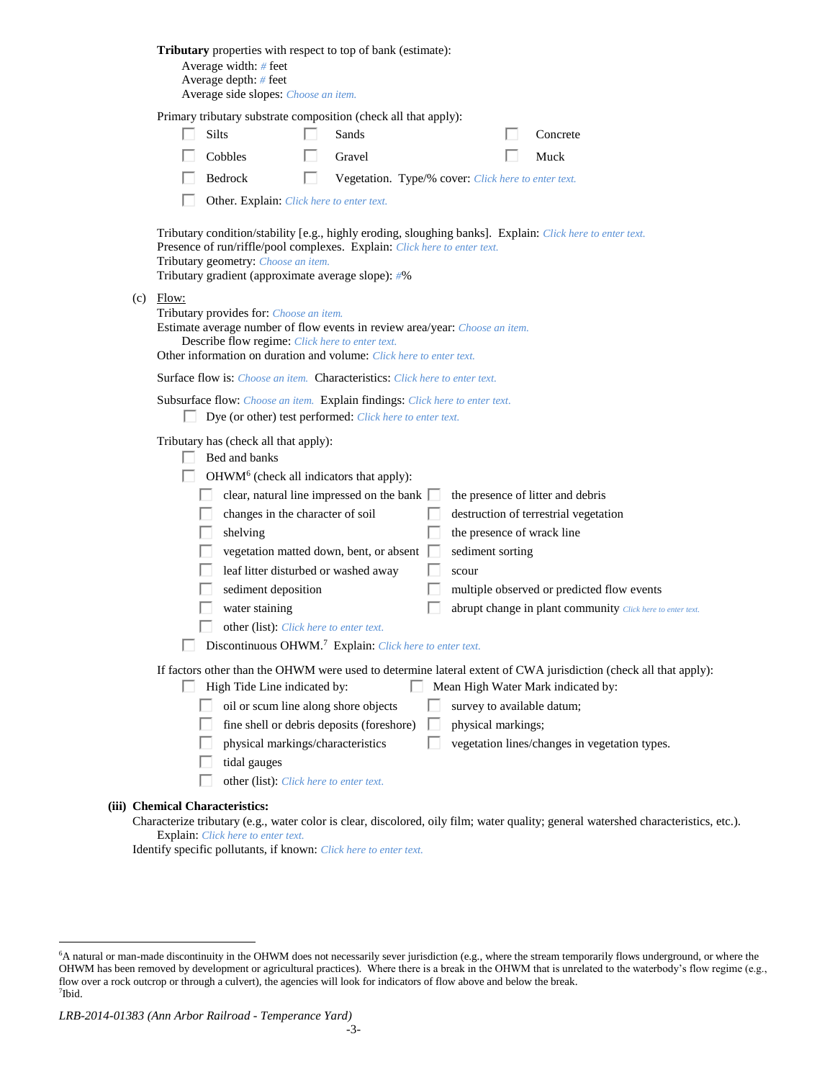|                                                                                                                                                                                                       | Tributary properties with respect to top of bank (estimate):<br>Average width: # feet<br>Average depth: $#$ feet<br>Average side slopes: Choose an item. |                                                                                                                                                                                                                                                                                                                                                                                                                                                                                                                                                                                                                                                                                                                  |  |  |  |
|-------------------------------------------------------------------------------------------------------------------------------------------------------------------------------------------------------|----------------------------------------------------------------------------------------------------------------------------------------------------------|------------------------------------------------------------------------------------------------------------------------------------------------------------------------------------------------------------------------------------------------------------------------------------------------------------------------------------------------------------------------------------------------------------------------------------------------------------------------------------------------------------------------------------------------------------------------------------------------------------------------------------------------------------------------------------------------------------------|--|--|--|
|                                                                                                                                                                                                       |                                                                                                                                                          | Primary tributary substrate composition (check all that apply):<br>Silts<br>Sands<br>Concrete<br>Cobbles<br>Gravel<br>Muck                                                                                                                                                                                                                                                                                                                                                                                                                                                                                                                                                                                       |  |  |  |
|                                                                                                                                                                                                       |                                                                                                                                                          | Bedrock<br>ш<br>Vegetation. Type/% cover: Click here to enter text.<br>Other. Explain: Click here to enter text.                                                                                                                                                                                                                                                                                                                                                                                                                                                                                                                                                                                                 |  |  |  |
|                                                                                                                                                                                                       | (c)                                                                                                                                                      | Tributary condition/stability [e.g., highly eroding, sloughing banks]. Explain: Click here to enter text.<br>Presence of run/riffle/pool complexes. Explain: Click here to enter text.<br>Tributary geometry: Choose an item.<br>Tributary gradient (approximate average slope): #%<br>Flow:<br>Tributary provides for: Choose an item.                                                                                                                                                                                                                                                                                                                                                                          |  |  |  |
| Estimate average number of flow events in review area/year: Choose an item.<br>Describe flow regime: Click here to enter text.<br>Other information on duration and volume: Click here to enter text. |                                                                                                                                                          |                                                                                                                                                                                                                                                                                                                                                                                                                                                                                                                                                                                                                                                                                                                  |  |  |  |
|                                                                                                                                                                                                       | <b>Surface flow is:</b> <i>Choose an item.</i> <b>Characteristics:</b> <i>Click here to enter text.</i>                                                  |                                                                                                                                                                                                                                                                                                                                                                                                                                                                                                                                                                                                                                                                                                                  |  |  |  |
| Subsurface flow: Choose an item. Explain findings: Click here to enter text.<br>Dye (or other) test performed: Click here to enter text.                                                              |                                                                                                                                                          |                                                                                                                                                                                                                                                                                                                                                                                                                                                                                                                                                                                                                                                                                                                  |  |  |  |
|                                                                                                                                                                                                       |                                                                                                                                                          | Tributary has (check all that apply):<br>Bed and banks<br>OHWM <sup>6</sup> (check all indicators that apply):<br>clear, natural line impressed on the bank [<br>the presence of litter and debris<br>changes in the character of soil<br>destruction of terrestrial vegetation<br>the presence of wrack line<br>shelving<br>vegetation matted down, bent, or absent<br>sediment sorting<br>leaf litter disturbed or washed away<br>scour<br>sediment deposition<br>multiple observed or predicted flow events<br>water staining<br>abrupt change in plant community Click here to enter text.<br>other (list): Click here to enter text.<br>Discontinuous OHWM. <sup>7</sup> Explain: Click here to enter text. |  |  |  |
|                                                                                                                                                                                                       |                                                                                                                                                          | If factors other than the OHWM were used to determine lateral extent of CWA jurisdiction (check all that apply):<br>High Tide Line indicated by:<br>Mean High Water Mark indicated by:<br>oil or scum line along shore objects<br>survey to available datum;<br>fine shell or debris deposits (foreshore)<br>physical markings;<br>physical markings/characteristics<br>vegetation lines/changes in vegetation types.<br>tidal gauges<br>other (list): Click here to enter text.                                                                                                                                                                                                                                 |  |  |  |
|                                                                                                                                                                                                       |                                                                                                                                                          | (iii) Chemical Characteristics:<br>Characterize tributary (e.g., water color is clear, discolored, oily film; water quality; general watershed characteristics, etc.).                                                                                                                                                                                                                                                                                                                                                                                                                                                                                                                                           |  |  |  |

## Explain: *Click here to enter text.*

Identify specific pollutants, if known: *Click here to enter text.*

 $\overline{a}$ 

<sup>6</sup>A natural or man-made discontinuity in the OHWM does not necessarily sever jurisdiction (e.g., where the stream temporarily flows underground, or where the OHWM has been removed by development or agricultural practices). Where there is a break in the OHWM that is unrelated to the waterbody's flow regime (e.g., flow over a rock outcrop or through a culvert), the agencies will look for indicators of flow above and below the break. 7 Ibid.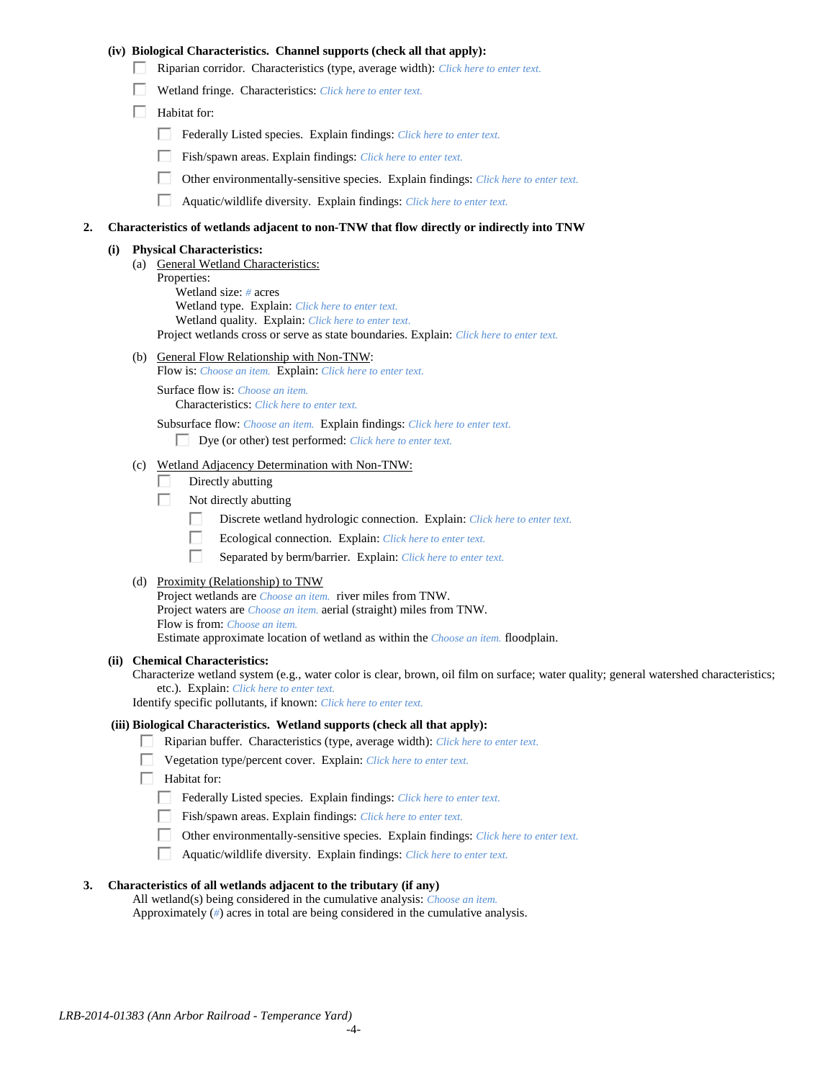## **(iv) Biological Characteristics. Channel supports (check all that apply):**

- Riparian corridor. Characteristics (type, average width): *Click here to enter text.*
- Wetland fringe. Characteristics: *Click here to enter text.*
- $\Box$  Habitat for:
	- Federally Listed species. Explain findings: *Click here to enter text.*
	- Fish/spawn areas. Explain findings: *Click here to enter text.*
	- $\Box$ Other environmentally-sensitive species. Explain findings: *Click here to enter text.*
	- П Aquatic/wildlife diversity. Explain findings: *Click here to enter text.*

### **2. Characteristics of wetlands adjacent to non-TNW that flow directly or indirectly into TNW**

#### **(i) Physical Characteristics:**

- (a) General Wetland Characteristics: Properties: Wetland size: *#* acres Wetland type. Explain: *Click here to enter text.* Wetland quality. Explain: *Click here to enter text.* Project wetlands cross or serve as state boundaries. Explain: *Click here to enter text.*
- (b) General Flow Relationship with Non-TNW:
	- Flow is: *Choose an item.* Explain: *Click here to enter text.*

Surface flow is: *Choose an item.* Characteristics: *Click here to enter text.*

Subsurface flow: *Choose an item.* Explain findings: *Click here to enter text.*

Dye (or other) test performed: *Click here to enter text.*

# (c) Wetland Adjacency Determination with Non-TNW:

- П Directly abutting
- Г. Not directly abutting
	- П. Discrete wetland hydrologic connection. Explain: *Click here to enter text.*
	- П. Ecological connection. Explain: *Click here to enter text.*
	- П. Separated by berm/barrier. Explain: *Click here to enter text.*
- (d) Proximity (Relationship) to TNW

Project wetlands are *Choose an item.* river miles from TNW. Project waters are *Choose an item.* aerial (straight) miles from TNW. Flow is from: *Choose an item.* Estimate approximate location of wetland as within the *Choose an item.* floodplain.

#### **(ii) Chemical Characteristics:**

Characterize wetland system (e.g., water color is clear, brown, oil film on surface; water quality; general watershed characteristics; etc.). Explain: *Click here to enter text.*

Identify specific pollutants, if known: *Click here to enter text.*

#### **(iii) Biological Characteristics. Wetland supports (check all that apply):**

- Riparian buffer. Characteristics (type, average width): *Click here to enter text.*
	- Vegetation type/percent cover. Explain: *Click here to enter text.*
	- Habitat for:
	- Federally Listed species. Explain findings: *Click here to enter text*.
	- Fish/spawn areas. Explain findings: *Click here to enter text.*
	- Other environmentally-sensitive species. Explain findings: *Click here to enter text.*
	- $\Box$ Aquatic/wildlife diversity. Explain findings: *Click here to enter text.*

## **3. Characteristics of all wetlands adjacent to the tributary (if any)**

All wetland(s) being considered in the cumulative analysis: *Choose an item.* Approximately (*#*) acres in total are being considered in the cumulative analysis.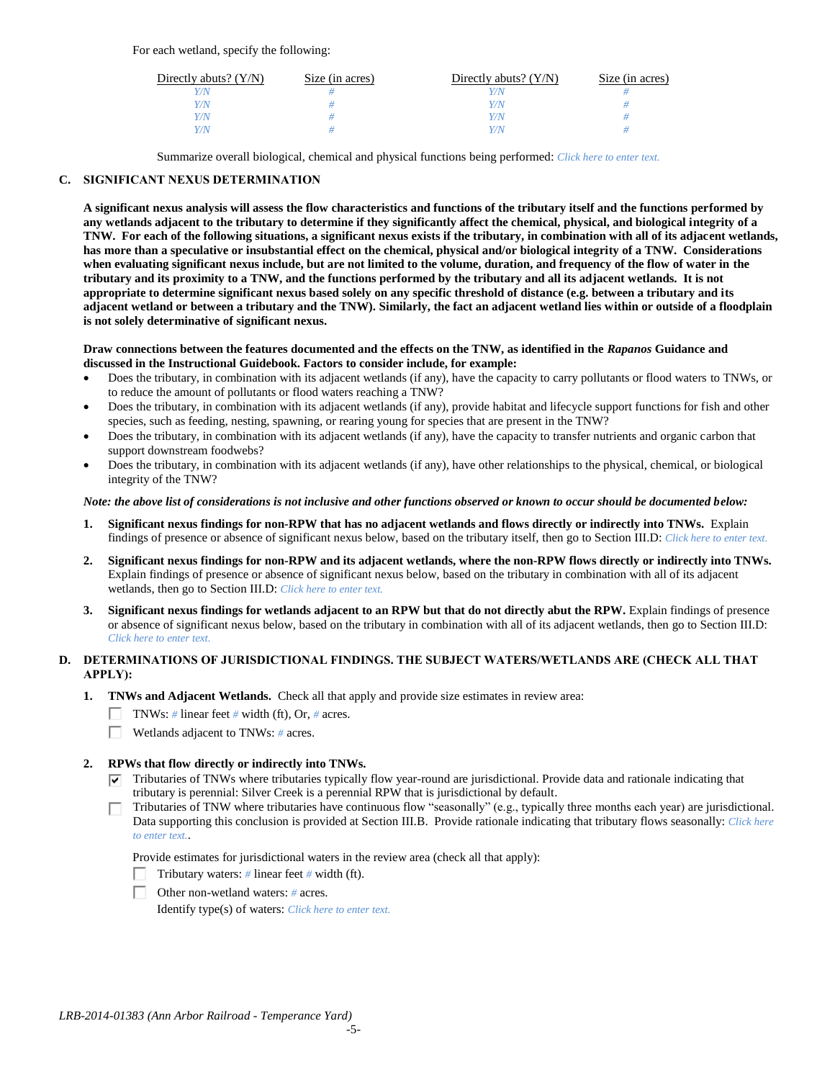For each wetland, specify the following:

| Directly abuts? $(Y/N)$ | Size (in acres) | Directly abuts? $(Y/N)$ | Size (in acres) |
|-------------------------|-----------------|-------------------------|-----------------|
|                         |                 |                         |                 |
| Y/N.                    |                 | Y/N                     |                 |
| Y/N                     |                 | Y/N                     |                 |
|                         |                 | Y/N                     |                 |

Summarize overall biological, chemical and physical functions being performed: *Click here to enter text.*

# **C. SIGNIFICANT NEXUS DETERMINATION**

**A significant nexus analysis will assess the flow characteristics and functions of the tributary itself and the functions performed by any wetlands adjacent to the tributary to determine if they significantly affect the chemical, physical, and biological integrity of a TNW. For each of the following situations, a significant nexus exists if the tributary, in combination with all of its adjacent wetlands, has more than a speculative or insubstantial effect on the chemical, physical and/or biological integrity of a TNW. Considerations when evaluating significant nexus include, but are not limited to the volume, duration, and frequency of the flow of water in the tributary and its proximity to a TNW, and the functions performed by the tributary and all its adjacent wetlands. It is not appropriate to determine significant nexus based solely on any specific threshold of distance (e.g. between a tributary and its adjacent wetland or between a tributary and the TNW). Similarly, the fact an adjacent wetland lies within or outside of a floodplain is not solely determinative of significant nexus.** 

#### **Draw connections between the features documented and the effects on the TNW, as identified in the** *Rapanos* **Guidance and discussed in the Instructional Guidebook. Factors to consider include, for example:**

- Does the tributary, in combination with its adjacent wetlands (if any), have the capacity to carry pollutants or flood waters to TNWs, or to reduce the amount of pollutants or flood waters reaching a TNW?
- Does the tributary, in combination with its adjacent wetlands (if any), provide habitat and lifecycle support functions for fish and other species, such as feeding, nesting, spawning, or rearing young for species that are present in the TNW?
- Does the tributary, in combination with its adjacent wetlands (if any), have the capacity to transfer nutrients and organic carbon that support downstream foodwebs?
- Does the tributary, in combination with its adjacent wetlands (if any), have other relationships to the physical, chemical, or biological integrity of the TNW?

## *Note: the above list of considerations is not inclusive and other functions observed or known to occur should be documented below:*

- **1. Significant nexus findings for non-RPW that has no adjacent wetlands and flows directly or indirectly into TNWs.** Explain findings of presence or absence of significant nexus below, based on the tributary itself, then go to Section III.D: *Click here to enter text.*
- **2. Significant nexus findings for non-RPW and its adjacent wetlands, where the non-RPW flows directly or indirectly into TNWs.**  Explain findings of presence or absence of significant nexus below, based on the tributary in combination with all of its adjacent wetlands, then go to Section III.D: *Click here to enter text.*
- **3. Significant nexus findings for wetlands adjacent to an RPW but that do not directly abut the RPW.** Explain findings of presence or absence of significant nexus below, based on the tributary in combination with all of its adjacent wetlands, then go to Section III.D: *Click here to enter text.*

# **D. DETERMINATIONS OF JURISDICTIONAL FINDINGS. THE SUBJECT WATERS/WETLANDS ARE (CHECK ALL THAT APPLY):**

- **1. TNWs and Adjacent Wetlands.** Check all that apply and provide size estimates in review area:
	- TNWs: *#* linear feet *#* width (ft), Or, *#* acres.
	- $\Box$ Wetlands adjacent to TNWs: *#* acres.

# **2. RPWs that flow directly or indirectly into TNWs.**

- $\nabla$  Tributaries of TNWs where tributaries typically flow year-round are jurisdictional. Provide data and rationale indicating that tributary is perennial: Silver Creek is a perennial RPW that is jurisdictional by default.
- Tributaries of TNW where tributaries have continuous flow "seasonally" (e.g., typically three months each year) are jurisdictional. Data supporting this conclusion is provided at Section III.B. Provide rationale indicating that tributary flows seasonally: *Click here to enter text.*.

Provide estimates for jurisdictional waters in the review area (check all that apply):

- Tributary waters: *#* linear feet *#* width (ft).
- Other non-wetland waters: *#* acres.

Identify type(s) of waters: *Click here to enter text.*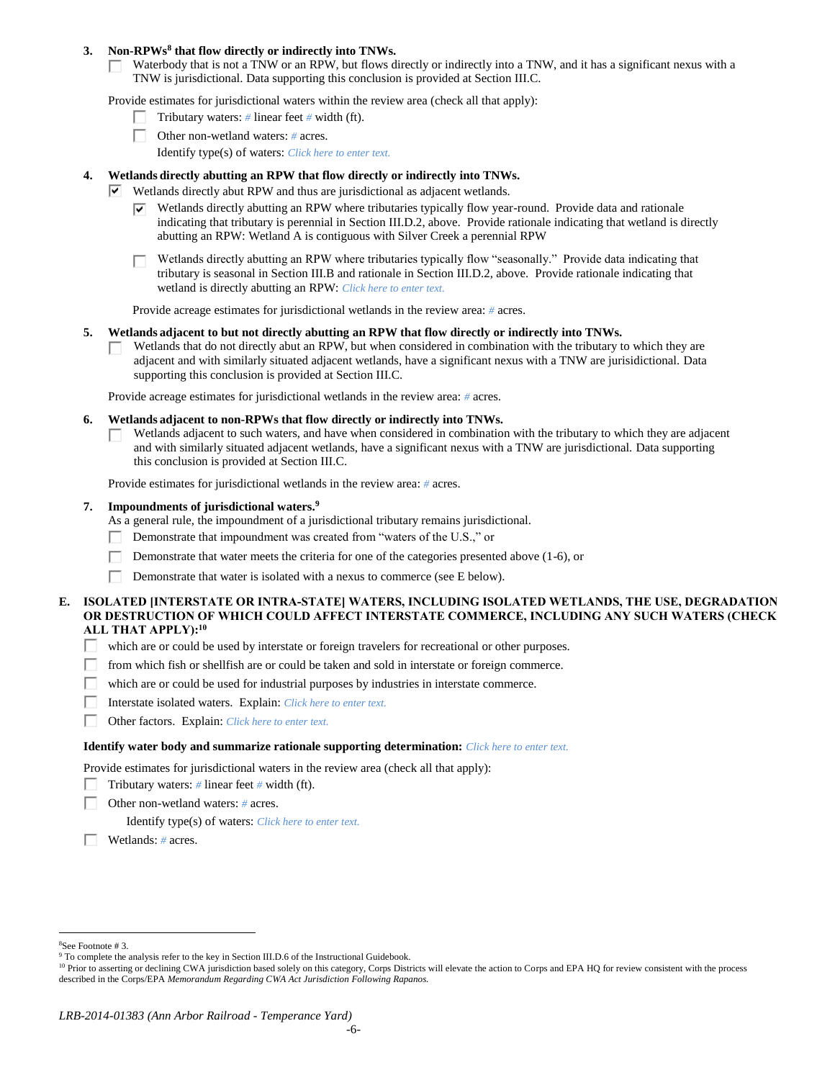## **3. Non-RPWs<sup>8</sup> that flow directly or indirectly into TNWs.**

Waterbody that is not a TNW or an RPW, but flows directly or indirectly into a TNW, and it has a significant nexus with a Г. TNW is jurisdictional. Data supporting this conclusion is provided at Section III.C.

Provide estimates for jurisdictional waters within the review area (check all that apply):

- Tributary waters: *#* linear feet *#* width (ft).  $\mathbf{I}$
- Other non-wetland waters: *#* acres.
	- Identify type(s) of waters: *Click here to enter text.*

## **4. Wetlands directly abutting an RPW that flow directly or indirectly into TNWs.**

- $\triangledown$  Wetlands directly abut RPW and thus are jurisdictional as adjacent wetlands.
	- $\triangledown$  Wetlands directly abutting an RPW where tributaries typically flow year-round. Provide data and rationale indicating that tributary is perennial in Section III.D.2, above. Provide rationale indicating that wetland is directly abutting an RPW: Wetland A is contiguous with Silver Creek a perennial RPW

Wetlands directly abutting an RPW where tributaries typically flow "seasonally." Provide data indicating that tributary is seasonal in Section III.B and rationale in Section III.D.2, above. Provide rationale indicating that wetland is directly abutting an RPW: *Click here to enter text.*

Provide acreage estimates for jurisdictional wetlands in the review area: *#* acres.

## **5. Wetlands adjacent to but not directly abutting an RPW that flow directly or indirectly into TNWs.**

Wetlands that do not directly abut an RPW, but when considered in combination with the tributary to which they are  $\mathbf{L}$ adjacent and with similarly situated adjacent wetlands, have a significant nexus with a TNW are jurisidictional. Data supporting this conclusion is provided at Section III.C.

Provide acreage estimates for jurisdictional wetlands in the review area: *#* acres.

#### **6. Wetlands adjacent to non-RPWs that flow directly or indirectly into TNWs.**

Wetlands adjacent to such waters, and have when considered in combination with the tributary to which they are adjacent П and with similarly situated adjacent wetlands, have a significant nexus with a TNW are jurisdictional. Data supporting this conclusion is provided at Section III.C.

Provide estimates for jurisdictional wetlands in the review area: *#* acres.

## **7. Impoundments of jurisdictional waters. 9**

As a general rule, the impoundment of a jurisdictional tributary remains jurisdictional.

- п Demonstrate that impoundment was created from "waters of the U.S.," or
- Demonstrate that water meets the criteria for one of the categories presented above (1-6), or
- Г Demonstrate that water is isolated with a nexus to commerce (see E below).

## **E. ISOLATED [INTERSTATE OR INTRA-STATE] WATERS, INCLUDING ISOLATED WETLANDS, THE USE, DEGRADATION OR DESTRUCTION OF WHICH COULD AFFECT INTERSTATE COMMERCE, INCLUDING ANY SUCH WATERS (CHECK ALL THAT APPLY):<sup>10</sup>**

- П. which are or could be used by interstate or foreign travelers for recreational or other purposes.
- from which fish or shellfish are or could be taken and sold in interstate or foreign commerce. П.
- П. which are or could be used for industrial purposes by industries in interstate commerce.
- П. Interstate isolated waters.Explain: *Click here to enter text.*
- п Other factors.Explain: *Click here to enter text.*

#### **Identify water body and summarize rationale supporting determination:** *Click here to enter text.*

Provide estimates for jurisdictional waters in the review area (check all that apply):

- Tributary waters:  $\#$  linear feet  $\#$  width (ft).
- Other non-wetland waters: *#* acres.

Identify type(s) of waters: *Click here to enter text.*

Wetlands: *#* acres.

 $\overline{a}$ <sup>8</sup>See Footnote # 3.

<sup>&</sup>lt;sup>9</sup> To complete the analysis refer to the key in Section III.D.6 of the Instructional Guidebook.

<sup>&</sup>lt;sup>10</sup> Prior to asserting or declining CWA jurisdiction based solely on this category, Corps Districts will elevate the action to Corps and EPA HQ for review consistent with the process described in the Corps/EPA *Memorandum Regarding CWA Act Jurisdiction Following Rapanos.*